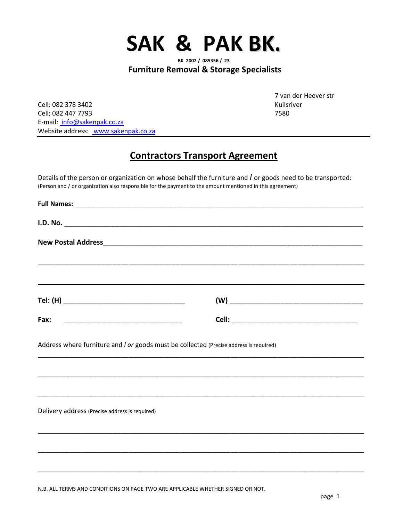

**Furniture Removal & Storage Specialists**

Cell: 082 378 3402 Kuilsriver Cell; 082 447 7793 7580 E-mail: info@sakenpak.co.za Website address: www.sakenpak.co.za

7 van der Heever str

## **Contractors Transport Agreement**

Details of the person or organization on whose behalf the furniture and *I* or goods need to be transported: (Person and / or organization also responsible for the payment to the amount mentioned in this agreement)

| Fax:                                                                                   |  |
|----------------------------------------------------------------------------------------|--|
| Address where furniture and I or goods must be collected (Precise address is required) |  |
| Delivery address (Precise address is required)                                         |  |
|                                                                                        |  |
|                                                                                        |  |

N.B. ALL TERMS AND CONDITIONS ON PAGE TWO ARE APPLICABLE WHETHER SIGNED OR NOT.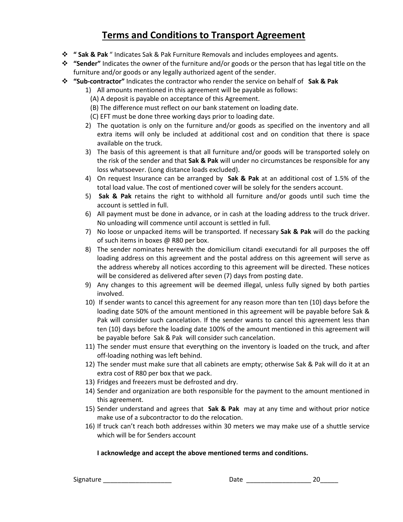# **Terms and Conditions to Transport Agreement**

- **" Sak & Pak** " Indicates Sak & Pak Furniture Removals and includes employees and agents.
- **"Sender"** Indicates the owner of the furniture and/or goods or the person that has legal title on the furniture and/or goods or any legally authorized agent of the sender.
- **"Sub-contractor"** Indicates the contractor who render the service on behalf of **Sak & Pak**
	- 1) All amounts mentioned in this agreement will be payable as follows:
		- (A) A deposit is payable on acceptance of this Agreement.
		- (B) The difference must reflect on our bank statement on loading date.
		- (C) EFT must be done three working days prior to loading date.
	- 2) The quotation is only on the furniture and/or goods as specified on the inventory and all extra items will only be included at additional cost and on condition that there is space available on the truck.
	- 3) The basis of this agreement is that all furniture and/or goods will be transported solely on the risk of the sender and that **Sak & Pak** will under no circumstances be responsible for any loss whatsoever. (Long distance loads excluded).
	- 4) On request Insurance can be arranged by **Sak & Pak** at an additional cost of 1.5% of the total load value. The cost of mentioned cover will be solely for the senders account.
	- 5) **Sak & Pak** retains the right to withhold all furniture and/or goods until such time the account is settled in full.
	- 6) All payment must be done in advance, or in cash at the loading address to the truck driver. No unloading will commence until account is settled in full.
	- 7) No loose or unpacked items will be transported. If necessary **Sak & Pak** will do the packing of such items in boxes @ R80 per box.
	- 8) The sender nominates herewith the domicilium citandi executandi for all purposes the off loading address on this agreement and the postal address on this agreement will serve as the address whereby all notices according to this agreement will be directed. These notices will be considered as delivered after seven (7) days from posting date.
	- 9) Any changes to this agreement will be deemed illegal, unless fully signed by both parties involved.
	- 10) If sender wants to cancel this agreement for any reason more than ten (10) days before the loading date 50% of the amount mentioned in this agreement will be payable before Sak & Pak will consider such cancelation. If the sender wants to cancel this agreement less than ten (10) days before the loading date 100% of the amount mentioned in this agreement will be payable before Sak & Pak will consider such cancelation.
	- 11) The sender must ensure that everything on the inventory is loaded on the truck, and after off-loading nothing was left behind.
	- 12) The sender must make sure that all cabinets are empty; otherwise Sak & Pak will do it at an extra cost of R80 per box that we pack.
	- 13) Fridges and freezers must be defrosted and dry.
	- 14) Sender and organization are both responsible for the payment to the amount mentioned in this agreement.
	- 15) Sender understand and agrees that **Sak & Pak** may at any time and without prior notice make use of a subcontractor to do the relocation.
	- 16) If truck can't reach both addresses within 30 meters we may make use of a shuttle service which will be for Senders account

## **I acknowledge and accept the above mentioned terms and conditions.**

Signature \_\_\_\_\_\_\_\_\_\_\_\_\_\_\_\_\_\_\_ Date \_\_\_\_\_\_\_\_\_\_\_\_\_\_\_\_\_\_ 20\_\_\_\_\_